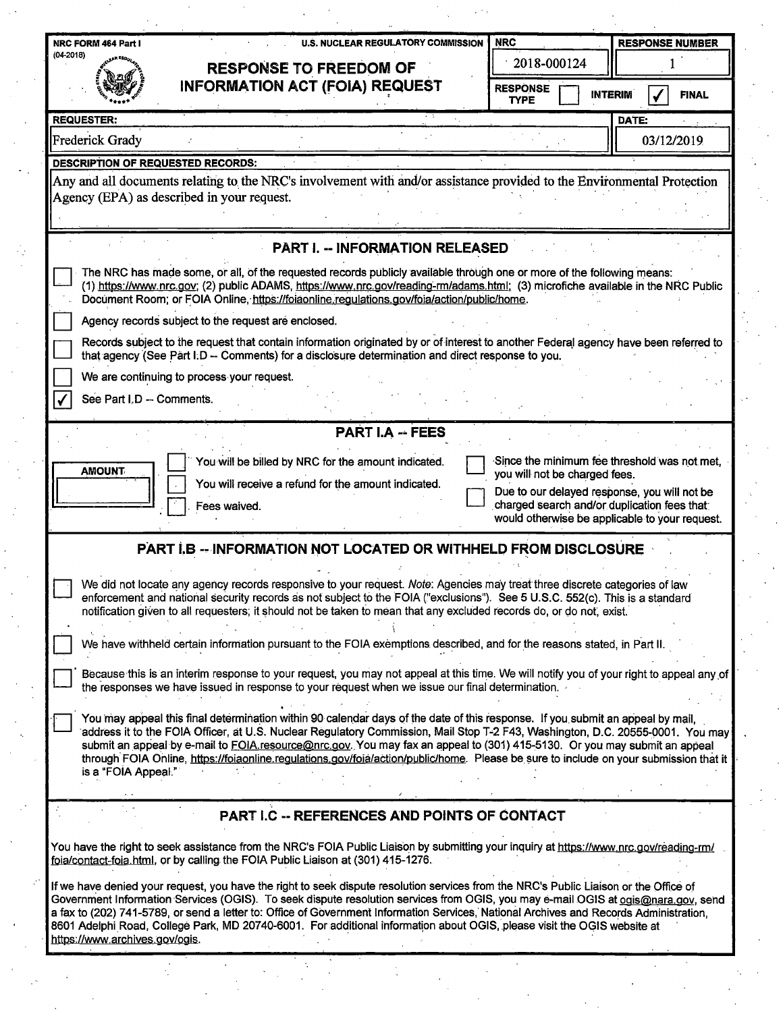| <b>INFORMATION ACT (FOIA) REQUEST</b><br><b>RESPONSE</b><br><b>INTERIM</b><br><b>TYPE</b><br><b>REQUESTER:</b><br>DATE:<br><b>Frederick Grady</b><br><b>DESCRIPTION OF REQUESTED RECORDS:</b><br>Any and all documents relating to the NRC's involvement with and/or assistance provided to the Environmental Protection<br>Agency (EPA) as described in your request.<br><b>PART I. -- INFORMATION RELEASED</b><br>The NRC has made some, or all, of the requested records publicly available through one or more of the following means:<br>(1) https://www.nrc.gov; (2) public ADAMS, https://www.nrc.gov/reading-rm/adams.html; (3) microfiche available in the NRC Public<br>Document Room; or FOIA Online, https://foiaonline.regulations.gov/foia/action/public/home.<br>Agency records subject to the request are enclosed.<br>Records subject to the request that contain information originated by or of interest to another Federal agency have been referred to<br>that agency (See Part I.D - Comments) for a disclosure determination and direct response to you.<br>We are continuing to process your request.<br>See Part I.D -- Comments.<br><b>PART I.A -- FEES</b><br>Since the minimum fee threshold was not met,<br>You will be billed by NRC for the amount indicated.<br><b>AMOUNT</b><br>you will not be charged fees.<br>You will receive a refund for the amount indicated.<br>Due to our delayed response, you will not be<br>charged search and/or duplication fees that:<br>Fees waived.<br>would otherwise be applicable to your request.<br><b>PART I.B -- INFORMATION NOT LOCATED OR WITHHELD FROM DISCLOSURE</b><br>We did not locate any agency records responsive to your request. Note: Agencies may treat three discrete categories of law<br>enforcement and national security records as not subject to the FOIA ("exclusions"). See 5 U.S.C. 552(c). This is a standard<br>notification given to all requesters; it should not be taken to mean that any excluded records do, or do not, exist.<br>We have withheld certain information pursuant to the FOIA exemptions described, and for the reasons stated, in Part II.<br>Because this is an interim response to your request, you may not appeal at this time. We will notify you of your right to appeal any of<br>the responses we have issued in response to your request when we issue our final determination.<br>You may appeal this final determination within 90 calendar days of the date of this response. If you submit an appeal by mail,<br>address it to the FOIA Officer, at U.S. Nuclear Regulatory Commission, Mail Stop T-2 F43, Washington, D.C. 20555-0001. You may<br>submit an appeal by e-mail to FOIA resource@nrc.gov. You may fax an appeal to (301) 415-5130. Or you may submit an appeal<br>through FOIA Online, https://foiaonline.regulations.gov/foia/action/public/home. Please be sure to include on your submission that it<br>is a "FOIA Appeal."<br>PART I.C -- REFERENCES AND POINTS OF CONTACT<br>You have the right to seek assistance from the NRC's FOIA Public Liaison by submitting your inquiry at https://www.nrc.gov/reading-rm/<br>foia/contact-foia.html, or by calling the FOIA Public Liaison at (301) 415-1276. | $(04 - 2018)$ | <b>U.S. NUCLEAR REGULATORY COMMISSION</b><br><b>RESPONSE TO FREEDOM OF</b> | 2018-000124 |  | <b>RESPONSE NUMBER</b><br><b>FINAL</b> |  |
|-----------------------------------------------------------------------------------------------------------------------------------------------------------------------------------------------------------------------------------------------------------------------------------------------------------------------------------------------------------------------------------------------------------------------------------------------------------------------------------------------------------------------------------------------------------------------------------------------------------------------------------------------------------------------------------------------------------------------------------------------------------------------------------------------------------------------------------------------------------------------------------------------------------------------------------------------------------------------------------------------------------------------------------------------------------------------------------------------------------------------------------------------------------------------------------------------------------------------------------------------------------------------------------------------------------------------------------------------------------------------------------------------------------------------------------------------------------------------------------------------------------------------------------------------------------------------------------------------------------------------------------------------------------------------------------------------------------------------------------------------------------------------------------------------------------------------------------------------------------------------------------------------------------------------------------------------------------------------------------------------------------------------------------------------------------------------------------------------------------------------------------------------------------------------------------------------------------------------------------------------------------------------------------------------------------------------------------------------------------------------------------------------------------------------------------------------------------------------------------------------------------------------------------------------------------------------------------------------------------------------------------------------------------------------------------------------------------------------------------------------------------------------------------------------------------------------------------------------------------------------------------------------------------------------------------------------------------------------------------------------------------------------------------------------------------------------------------------------------------------------------------------------------------------------------------------------------------------------------------------------------------------|---------------|----------------------------------------------------------------------------|-------------|--|----------------------------------------|--|
|                                                                                                                                                                                                                                                                                                                                                                                                                                                                                                                                                                                                                                                                                                                                                                                                                                                                                                                                                                                                                                                                                                                                                                                                                                                                                                                                                                                                                                                                                                                                                                                                                                                                                                                                                                                                                                                                                                                                                                                                                                                                                                                                                                                                                                                                                                                                                                                                                                                                                                                                                                                                                                                                                                                                                                                                                                                                                                                                                                                                                                                                                                                                                                                                                                                                 |               |                                                                            |             |  |                                        |  |
|                                                                                                                                                                                                                                                                                                                                                                                                                                                                                                                                                                                                                                                                                                                                                                                                                                                                                                                                                                                                                                                                                                                                                                                                                                                                                                                                                                                                                                                                                                                                                                                                                                                                                                                                                                                                                                                                                                                                                                                                                                                                                                                                                                                                                                                                                                                                                                                                                                                                                                                                                                                                                                                                                                                                                                                                                                                                                                                                                                                                                                                                                                                                                                                                                                                                 |               |                                                                            |             |  |                                        |  |
|                                                                                                                                                                                                                                                                                                                                                                                                                                                                                                                                                                                                                                                                                                                                                                                                                                                                                                                                                                                                                                                                                                                                                                                                                                                                                                                                                                                                                                                                                                                                                                                                                                                                                                                                                                                                                                                                                                                                                                                                                                                                                                                                                                                                                                                                                                                                                                                                                                                                                                                                                                                                                                                                                                                                                                                                                                                                                                                                                                                                                                                                                                                                                                                                                                                                 |               |                                                                            |             |  | 03/12/2019                             |  |
|                                                                                                                                                                                                                                                                                                                                                                                                                                                                                                                                                                                                                                                                                                                                                                                                                                                                                                                                                                                                                                                                                                                                                                                                                                                                                                                                                                                                                                                                                                                                                                                                                                                                                                                                                                                                                                                                                                                                                                                                                                                                                                                                                                                                                                                                                                                                                                                                                                                                                                                                                                                                                                                                                                                                                                                                                                                                                                                                                                                                                                                                                                                                                                                                                                                                 |               |                                                                            |             |  |                                        |  |
|                                                                                                                                                                                                                                                                                                                                                                                                                                                                                                                                                                                                                                                                                                                                                                                                                                                                                                                                                                                                                                                                                                                                                                                                                                                                                                                                                                                                                                                                                                                                                                                                                                                                                                                                                                                                                                                                                                                                                                                                                                                                                                                                                                                                                                                                                                                                                                                                                                                                                                                                                                                                                                                                                                                                                                                                                                                                                                                                                                                                                                                                                                                                                                                                                                                                 |               |                                                                            |             |  |                                        |  |
|                                                                                                                                                                                                                                                                                                                                                                                                                                                                                                                                                                                                                                                                                                                                                                                                                                                                                                                                                                                                                                                                                                                                                                                                                                                                                                                                                                                                                                                                                                                                                                                                                                                                                                                                                                                                                                                                                                                                                                                                                                                                                                                                                                                                                                                                                                                                                                                                                                                                                                                                                                                                                                                                                                                                                                                                                                                                                                                                                                                                                                                                                                                                                                                                                                                                 |               |                                                                            |             |  |                                        |  |
|                                                                                                                                                                                                                                                                                                                                                                                                                                                                                                                                                                                                                                                                                                                                                                                                                                                                                                                                                                                                                                                                                                                                                                                                                                                                                                                                                                                                                                                                                                                                                                                                                                                                                                                                                                                                                                                                                                                                                                                                                                                                                                                                                                                                                                                                                                                                                                                                                                                                                                                                                                                                                                                                                                                                                                                                                                                                                                                                                                                                                                                                                                                                                                                                                                                                 |               |                                                                            |             |  |                                        |  |
|                                                                                                                                                                                                                                                                                                                                                                                                                                                                                                                                                                                                                                                                                                                                                                                                                                                                                                                                                                                                                                                                                                                                                                                                                                                                                                                                                                                                                                                                                                                                                                                                                                                                                                                                                                                                                                                                                                                                                                                                                                                                                                                                                                                                                                                                                                                                                                                                                                                                                                                                                                                                                                                                                                                                                                                                                                                                                                                                                                                                                                                                                                                                                                                                                                                                 |               |                                                                            |             |  |                                        |  |
|                                                                                                                                                                                                                                                                                                                                                                                                                                                                                                                                                                                                                                                                                                                                                                                                                                                                                                                                                                                                                                                                                                                                                                                                                                                                                                                                                                                                                                                                                                                                                                                                                                                                                                                                                                                                                                                                                                                                                                                                                                                                                                                                                                                                                                                                                                                                                                                                                                                                                                                                                                                                                                                                                                                                                                                                                                                                                                                                                                                                                                                                                                                                                                                                                                                                 |               |                                                                            |             |  |                                        |  |
|                                                                                                                                                                                                                                                                                                                                                                                                                                                                                                                                                                                                                                                                                                                                                                                                                                                                                                                                                                                                                                                                                                                                                                                                                                                                                                                                                                                                                                                                                                                                                                                                                                                                                                                                                                                                                                                                                                                                                                                                                                                                                                                                                                                                                                                                                                                                                                                                                                                                                                                                                                                                                                                                                                                                                                                                                                                                                                                                                                                                                                                                                                                                                                                                                                                                 |               |                                                                            |             |  |                                        |  |
|                                                                                                                                                                                                                                                                                                                                                                                                                                                                                                                                                                                                                                                                                                                                                                                                                                                                                                                                                                                                                                                                                                                                                                                                                                                                                                                                                                                                                                                                                                                                                                                                                                                                                                                                                                                                                                                                                                                                                                                                                                                                                                                                                                                                                                                                                                                                                                                                                                                                                                                                                                                                                                                                                                                                                                                                                                                                                                                                                                                                                                                                                                                                                                                                                                                                 |               |                                                                            |             |  |                                        |  |
|                                                                                                                                                                                                                                                                                                                                                                                                                                                                                                                                                                                                                                                                                                                                                                                                                                                                                                                                                                                                                                                                                                                                                                                                                                                                                                                                                                                                                                                                                                                                                                                                                                                                                                                                                                                                                                                                                                                                                                                                                                                                                                                                                                                                                                                                                                                                                                                                                                                                                                                                                                                                                                                                                                                                                                                                                                                                                                                                                                                                                                                                                                                                                                                                                                                                 |               |                                                                            |             |  |                                        |  |
|                                                                                                                                                                                                                                                                                                                                                                                                                                                                                                                                                                                                                                                                                                                                                                                                                                                                                                                                                                                                                                                                                                                                                                                                                                                                                                                                                                                                                                                                                                                                                                                                                                                                                                                                                                                                                                                                                                                                                                                                                                                                                                                                                                                                                                                                                                                                                                                                                                                                                                                                                                                                                                                                                                                                                                                                                                                                                                                                                                                                                                                                                                                                                                                                                                                                 |               |                                                                            |             |  |                                        |  |
|                                                                                                                                                                                                                                                                                                                                                                                                                                                                                                                                                                                                                                                                                                                                                                                                                                                                                                                                                                                                                                                                                                                                                                                                                                                                                                                                                                                                                                                                                                                                                                                                                                                                                                                                                                                                                                                                                                                                                                                                                                                                                                                                                                                                                                                                                                                                                                                                                                                                                                                                                                                                                                                                                                                                                                                                                                                                                                                                                                                                                                                                                                                                                                                                                                                                 |               |                                                                            |             |  |                                        |  |
|                                                                                                                                                                                                                                                                                                                                                                                                                                                                                                                                                                                                                                                                                                                                                                                                                                                                                                                                                                                                                                                                                                                                                                                                                                                                                                                                                                                                                                                                                                                                                                                                                                                                                                                                                                                                                                                                                                                                                                                                                                                                                                                                                                                                                                                                                                                                                                                                                                                                                                                                                                                                                                                                                                                                                                                                                                                                                                                                                                                                                                                                                                                                                                                                                                                                 |               |                                                                            |             |  |                                        |  |
|                                                                                                                                                                                                                                                                                                                                                                                                                                                                                                                                                                                                                                                                                                                                                                                                                                                                                                                                                                                                                                                                                                                                                                                                                                                                                                                                                                                                                                                                                                                                                                                                                                                                                                                                                                                                                                                                                                                                                                                                                                                                                                                                                                                                                                                                                                                                                                                                                                                                                                                                                                                                                                                                                                                                                                                                                                                                                                                                                                                                                                                                                                                                                                                                                                                                 |               |                                                                            |             |  |                                        |  |
|                                                                                                                                                                                                                                                                                                                                                                                                                                                                                                                                                                                                                                                                                                                                                                                                                                                                                                                                                                                                                                                                                                                                                                                                                                                                                                                                                                                                                                                                                                                                                                                                                                                                                                                                                                                                                                                                                                                                                                                                                                                                                                                                                                                                                                                                                                                                                                                                                                                                                                                                                                                                                                                                                                                                                                                                                                                                                                                                                                                                                                                                                                                                                                                                                                                                 |               |                                                                            |             |  |                                        |  |
|                                                                                                                                                                                                                                                                                                                                                                                                                                                                                                                                                                                                                                                                                                                                                                                                                                                                                                                                                                                                                                                                                                                                                                                                                                                                                                                                                                                                                                                                                                                                                                                                                                                                                                                                                                                                                                                                                                                                                                                                                                                                                                                                                                                                                                                                                                                                                                                                                                                                                                                                                                                                                                                                                                                                                                                                                                                                                                                                                                                                                                                                                                                                                                                                                                                                 |               |                                                                            |             |  |                                        |  |
| If we have denied your request, you have the right to seek dispute resolution services from the NRC's Public Liaison or the Office of<br>Government Information Services (OGIS). To seek dispute resolution services from OGIS, you may e-mail OGIS at ogis@nara.gov, send<br>a fax to (202) 741-5789, or send a letter to: Office of Government Information Services, National Archives and Records Administration,<br>8601 Adelphi Road, College Park, MD 20740-6001. For additional information about OGIS, please visit the OGIS website at<br>https://www.archives.gov/ogis.                                                                                                                                                                                                                                                                                                                                                                                                                                                                                                                                                                                                                                                                                                                                                                                                                                                                                                                                                                                                                                                                                                                                                                                                                                                                                                                                                                                                                                                                                                                                                                                                                                                                                                                                                                                                                                                                                                                                                                                                                                                                                                                                                                                                                                                                                                                                                                                                                                                                                                                                                                                                                                                                               |               |                                                                            |             |  |                                        |  |